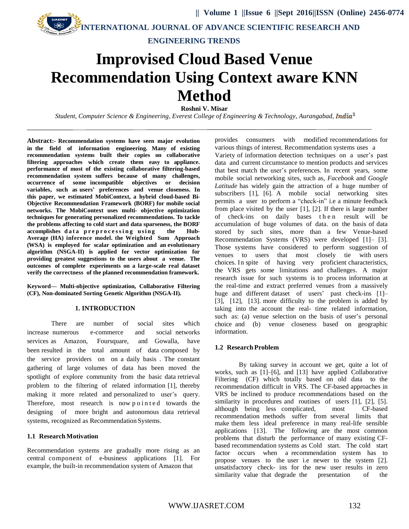**ENGINEERING TRENDS**

# **Improvised Cloud Based Venue Recommendation Using Context aware KNN Method**

**Roshni V. Misar**

*Student, Computer Science & Engineering, Everest College of Engineering & Technology, Aurangabad, India<sup>1</sup>* 

**Abstract:- Recommendation systems have seen major evolution in the field of information engineering. Many of existing recommendation systems built their copies on collaborative filtering approaches which create them easy to appliance. performance of most of the existing collaborative filtering-based recommendation system suffers because of many challenges, occurrence of some incompatible objectives or decision variables, such as users' preferences and venue closeness. In this paper, we estimated MobiContext, a hybrid cloud-based Bi-Objective Recommendation Framework (BORF) for mobile social networks. The MobiContext uses multi- objective optimization techniques for generating personalized recommendations. To tackle the problems affecting to cold start and data sparseness, the BORF**  accomplishes data preprocessing using the Hub-**Average (HA) inference model. the Weighted Sum Approach (WSA) is employed for scalar optimization and an evolutionary algorithm (NSGA-II) is applied for vector optimization for providing greatest suggestions to the users about a venue. The outcomes of complete experiments on a large-scale real dataset verify the correctness of the planned recommendation framework.**

**Keyword— Multi-objective optimization, Collaborative Filtering (CF), Non-dominated Sorting Genetic Algorithm (NSGA-II).**

#### **1. INTRODUCTION**

There are number of social sites which increase numerous e-commerce and social networks services as Amazon, Foursquare, and Gowalla, have been resulted in the total amount of data composed by the service providers on on a daily basis . The constant gathering of large volumes of data has been moved the spotlight of explore community from the basic data retrieval problem to the filtering of related information [1], thereby making it more related and personalized to user's query. Therefore, most research is now pointed towards the designing of more bright and autonomous data retrieval systems, recognized as Recommendation Systems.

#### **1.1 ResearchMotivation**

Recommendation systems are gradually more rising as an central component of e-business applications [1]. For example, the built-in recommendation system of Amazon that

provides consumers with modified recommendations for various things of interest. Recommendation systems uses a Variety of information detection techniques on a user's past data and current circumstance to mention products and services that best match the user's preferences. In recent years, some mobile social networking sites, such as, *Facebook* and *Google Latitude* has widely gain the attraction of a huge number of subscribers [1], [6]. A mobile social networking sites permits a user to perform a "check-in" i.e a minute feedback from place visited by the user [1], [2]. If there is large number check-ins on daily bases then result will be accumulation of huge volumes of data. on the basis of data stored by such sites, more than a few Venue-based Recommendation Systems (VRS) were developed [1]– [3]. Those systems have considered to perform suggestion of venues to users that most closely tie with users choices. In spite of having very proficient characteristics, the VRS gets some limitations and challenges. A major research issue for such systems is to process information at the real-time and extract preferred venues from a massively huge and different dataset of users' past check-ins [1]– [3], [12], [13]. more difficulty to the problem is added by taking into the account the real- time related information, such as: (a) venue selection on the basis of user's personal choice and (b) venue closeness based on geographic information.

## **1.2 Research Problem**

By taking survey in account we get, quite a lot of works, such as [1]–[6], and [13] have applied Collaborative Filtering (CF) which totally based on old data to the recommendation difficult in VRS. The CF-based approaches in VRS be inclined to produce recommendations based on the similarity in procedures and routines of users [1], [2], [5]. although being less complicated, most CF-based recommendation methods suffer from several limits that make them less ideal preference in many real-life sensible applications [13]. The following are the most common problems that disturb the performance of many existing CFbased recommendation systems as Cold start. The cold start factor occurs when a recommendation system has to propose venues to the user i.e newer to the system [2]. unsatisfactory check- ins for the new user results in zero similarity value that degrade the presentation of the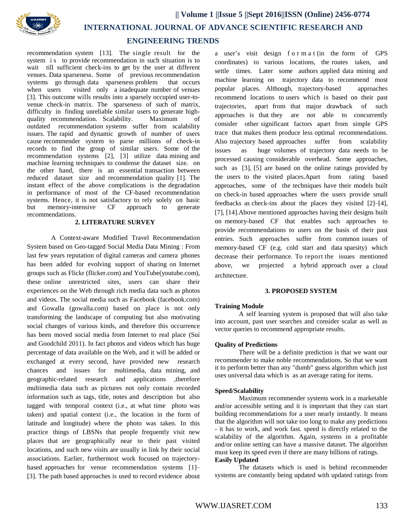

# **ENGINEERING TRENDS**

recommendation system [13]. The single result for the system is to provide recommendation in such situation is to wait till sufficient check-ins to get by the user at different venues. Data sparseness. Some of previous recommendation systems go through data sparseness problem that occurs when users visited only a inadequate number of venues [3]. This outcome wills results into a sparsely occupied user-tovenue check-in matrix. The sparseness of such of matrix, difficulty in finding unreliable similar users to generate highquality recommendation. Scalability. Maximum of outdated recommendation systems suffer from scalability issues. The rapid and dynamic growth of number of users cause recommender system to parse millions of check-in records to find the group of similar users. Some of the recommendation systems [2], [3] utilize data mining and machine learning techniques to condense the dataset size. on the other hand, there is an essential transaction between reduced dataset size and recommendation quality [1]. The instant effect of the above complications is the degradation in performance of most of the CF-based recommendation systems. Hence, it is not satisfactory to rely solely on basic but memory-intensive CF approach to generate recommendations.

## **2. LITERATURE SURVEY**

A Context-aware Modified Travel Recommendation System based on Geo-tagged Social Media Data Mining : From last few years reputation of digital cameras and camera phones has been added for evolving support of sharing on Internet groups such as Flickr (flicker.com) and YouTube(youtube.com), these online unrestricted sites, users can share their experiences on the Web through rich media data such as photos and videos. The social media such as Facebook (facebook.com) and Gowalla (gowalla.com) based on place is not only transforming the landscape of computing but also motivating social changes of various kinds, and therefore this occurrence has been moved social media from Internet to real place (Sui and Goodchild 2011). In fact photos and videos which has huge percentage of data available on the Web, and it will be added or exchanged at every second, have provided new research chances and issues for multimedia, data mining, and geographic-related research and applications ,therefore multimedia data such as pictures not only contain recorded information such as tags, title, notes and description but also tagged with temporal context (i.e., at what time photo was taken) and spatial context (i.e., the location in the form of latitude and longitude) where the photo was taken. In this practice things of LBSNs that people frequently visit new places that are geographically near to their past visited locations, and such new visits are usually in link by their social associations. Earlier, furthermost work focused on trajectorybased approaches for venue recommendation systems [1]– [3]. The path based approaches is used to record evidence about

a user's visit design f o r m a t (in the form of GPS coordinates) to various locations, the routes taken, and settle times. Later some authors applied data mining and machine learning on trajectory data to recommend most popular places. Although, trajectory-based approaches recommend locations to users which is based on their past trajectories, apart from that major drawback of such approaches is that they are not able to concurrently consider other significant factors apart from simple GPS trace that makes them produce less optimal recommendations. Also trajectory based approaches suffer from scalability issues as huge volumes of trajectory data needs to be processed causing considerable overhead. Some approaches, such as [3], [5] are based on the online ratings provided by the users to the visited places.Apart from rating based approaches, some of the techniques have their models built on check-in based approaches where the users provide small feedbacks as check-ins about the places they visited [2]–[4], [7], [14].Above mentioned approaches having their designs built on memory-based CF that enables such approaches to provide recommendations to users on the basis of their past entries. Such approaches suffer from common issues of memory-based CF (e.g. cold start and data sparsity) which decrease their performance. To report the issues mentioned above, we projected a hybrid approach over a cloud architecture.

## **3. PROPOSED SYSTEM**

#### **Training Module**

A self learning system is proposed that will also take into account, past user searches and consider scalar as well as vector queries to recommend appropriate results.

#### **Quality of Predictions**

There will be a definite prediction is that we want our recommender to make noble recommendations. So that we want it to perform better than any "dumb" guess algorithm which just uses universal data which is as an average rating for items.

#### **Speed/Scalability**

Maximum recommender systems work in a marketable and/or accessible setting and it is important that they can start building recommendations for a user nearly instantly. It means that the algorithm will not take too long to make any predictions - it has to work, and work fast. speed is directly related to the scalability of the algorithm. Again, systems in a profitable and/or online setting can have a massive dataset. The algorithm must keep its speed even if there are many billions of ratings. **Easily Updated**

The datasets which is used is behind recommender systems are constantly being updated with updated ratings from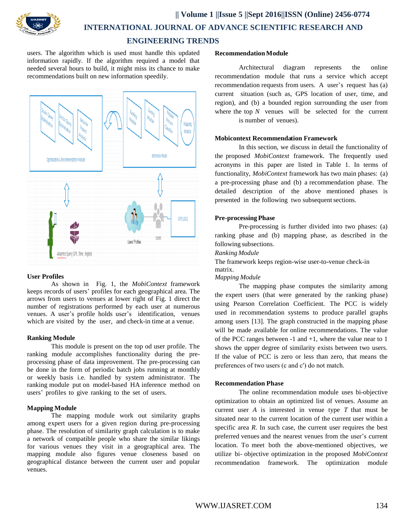



# **ENGINEERING TRENDS**

users. The algorithm which is used must handle this updated information rapidly. If the algorithm required a model that needed several hours to build, it might miss its chance to make recommendations built on new information speedily.



## **User Profiles**

As shown in Fig. 1, the *MobiContext* framework keeps records of users' profiles for each geographical area. The arrows from users to venues at lower right of Fig. 1 direct the number of registrations performed by each user at numerous venues. A user's profile holds user's identification, venues which are visited by the user, and check-in time at a venue.

# **Ranking Module**

This module is present on the top od user profile. The ranking module accomplishes functionality during the preprocessing phase of data improvement. The pre-processing can be done in the form of periodic batch jobs running at monthly or weekly basis i.e. handled by system administrator. The ranking module put on model-based HA inference method on users' profiles to give ranking to the set of users.

# **Mapping Module**

The mapping module work out similarity graphs among expert users for a given region during pre-processing phase. The resolution of similarity graph calculation is to make a network of compatible people who share the similar likings for various venues they visit in a geographical area. The mapping module also figures venue closeness based on geographical distance between the current user and popular venues.

## **Recommendation Module**

Architectural diagram represents the online recommendation module that runs a service which accept recommendation requests from users. A user's request has (a) current situation (such as, GPS location of user, time, and region), and (b) a bounded region surrounding the user from where the top *N* venues will be selected for the current is number of venues).

## **Mobicontext Recommendation Framework**

In this section, we discuss in detail the functionality of the proposed *MobiContext* framework. The frequently used acronyms in this paper are listed in Table 1. In terms of functionality, *MobiContext* framework has two main phases: (a) a pre-processing phase and (b) a recommendation phase. The detailed description of the above mentioned phases is presented in the following two subsequent sections.

# **Pre-processing Phase**

Pre-processing is further divided into two phases: (a) ranking phase and (b) mapping phase, as described in the following subsections.

## *Ranking Module*

The framework keeps region-wise user-to-venue check-in matrix.

# *Mapping Module*

The mapping phase computes the similarity among the expert users (that were generated by the ranking phase) using Pearson Correlation Coefficient. The PCC is widely used in recommendation systems to produce parallel graphs among users [13]. The graph constructed in the mapping phase will be made available for online recommendations. The value of the PCC ranges between -1 and +1, where the value near to 1 shows the upper degree of similarity exists between two users. If the value of PCC is zero or less than zero, that means the preferences of two users (c and c′) do not match.

# **Recommendation Phase**

The online recommendation module uses bi-objective optimization to obtain an optimized list of venues. Assume an current user *A* is interested in venue type *T* that must be situated near to the current location of the current user within a specific area *R*. In such case, the current user requires the best preferred venues and the nearest venues from the user's current location. To meet both the above-mentioned objectives, we utilize bi- objective optimization in the proposed *MobiContext* recommendation framework. The optimization module